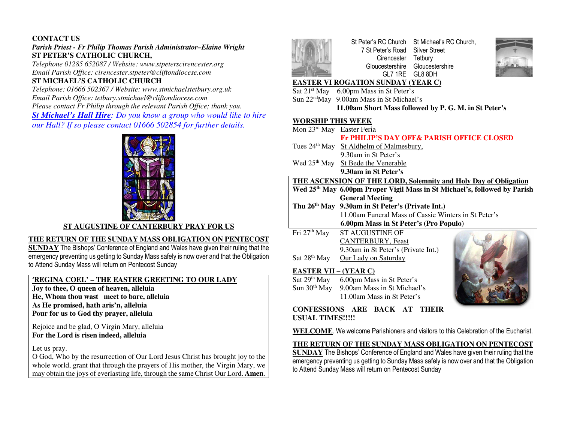# **CONTACT US**

# *Parish Priest - Fr Philip Thomas Parish Administrator–Elaine Wright*  **ST PETER'S CATHOLIC CHURCH,**

 *Telephone 01285 652087 / Website: www.stpeterscirencester.org Email Parish Office: cirencester.stpeter@cliftondiocese.com*

# **ST MICHAEL'S CATHOLIC CHURCH**

 *Telephone: 01666 502367 / Website: www.stmichaelstetbury.org.uk Email Parish Office: tetbury.stmichael@cliftondiocese.com Please contact Fr Philip through the relevant Parish Office; thank you. St Michael's Hall Hire: Do you know a group who would like to hire our Hall? If so please contact 01666 502854 for further details.* 



#### **ST AUGUSTINE OF CANTERBURY PRAY FOR US**

#### **THE RETURN OF THE SUNDAY MASS OBLIGATION ON PENTECOST**

 **SUNDAY** The Bishops' Conference of England and Wales have given their ruling that the emergency preventing us getting to Sunday Mass safely is now over and that the Obligation to Attend Sunday Mass will return on Pentecost Sunday

# **'REGINA COEL' – THE EASTER GREETING TO OUR LADY**

**Joy to thee, O queen of heaven, alleluia He, Whom thou wast meet to bare, alleluia As He promised, hath aris'n, alleluia Pour for us to God thy prayer, alleluia** 

Rejoice and be glad, O Virgin Mary, alleluia **For the Lord is risen indeed, alleluia** 

Let us pray.

 O God, Who by the resurrection of Our Lord Jesus Christ has brought joy to the whole world, grant that through the prayers of His mother, the Virgin Mary, we may obtain the joys of everlasting life, through the same Christ Our Lord. **Amen**.



St Peter's RC Church St Michael's RC Church, 7 St Peter's Road Silver Street Cirencester Tetbury Gloucestershire Gloucestershire GL7 1RE GL8 8DH



## **EASTER VI ROGATION SUNDAY (YEAR C)**

- Sat 21<sup>st</sup> May 6.00pm Mass in St Peter's
- Sun 22<sup>nd</sup>May 9.00am Mass in St Michael's

 **11.00am Short Mass followed by P. G. M. in St Peter's** 

### **WORSHIP THIS WEEK**

- Mon 23<sup>rd</sup> May Easter Feria  **Fr PHILIP'S DAY OFF& PARISH OFFICE CLOSED** Tues 24<sup>th</sup> May St Aldhelm of Malmesbury, 9.30am in St Peter's Wed 25<sup>th</sup> May St Bede the Venerable **9.30am in St Peter's THE ASCENSION OF THE LORD, Solemnity and Holy Day of Obligation Wed 25th May 6.00pm Proper Vigil Mass in St Michael's, followed by Parish General Meeting Thu 26th May 9.30am in St Peter's (Private Int.)**  11.00am Funeral Mass of Cassie Winters in St Peter's **6.00pm Mass in St Peter's (Pro Populo)** Fri 27<sup>th</sup> May ST AUGUSTINE OF
- CANTERBURY, Feast 9.30am in St Peter's (Private Int.) Sat 28<sup>th</sup> May Our Lady on Saturday

## **EASTER VII – (YEAR C)**

Sat 29<sup>th</sup> May 6.00pm Mass in St Peter's Sun 30<sup>th</sup> May 9.00am Mass in St Michael's 11.00am Mass in St Peter's



**CONFESSIONS ARE BACK AT THEIR USUAL TIMES!!!!!** 

**WELCOME**. We welcome Parishioners and visitors to this Celebration of the Eucharist.

# **THE RETURN OF THE SUNDAY MASS OBLIGATION ON PENTECOST**

 **SUNDAY** The Bishops' Conference of England and Wales have given their ruling that the emergency preventing us getting to Sunday Mass safely is now over and that the Obligation to Attend Sunday Mass will return on Pentecost Sunday